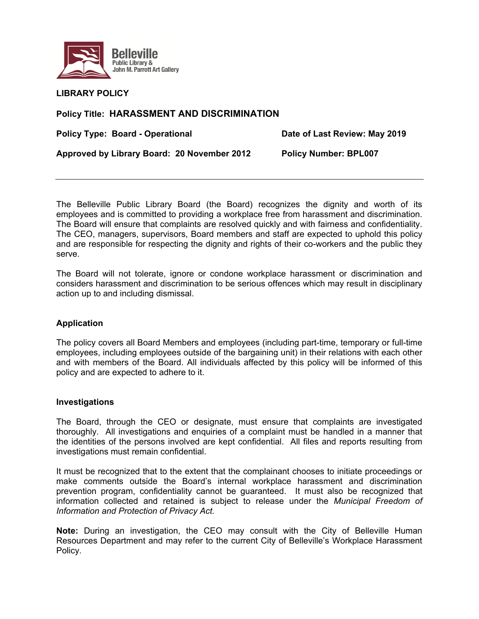

**LIBRARY POLICY** 

# **Policy Title: HARASSMENT AND DISCRIMINATION**

**Policy Type: Board - Operational Cast Cast Review: May 2019** 

**Approved by Library Board: 20 November 2012 Policy Number: BPL007** 

The Belleville Public Library Board (the Board) recognizes the dignity and worth of its employees and is committed to providing a workplace free from harassment and discrimination. The Board will ensure that complaints are resolved quickly and with fairness and confidentiality. The CEO, managers, supervisors, Board members and staff are expected to uphold this policy and are responsible for respecting the dignity and rights of their co-workers and the public they serve.

The Board will not tolerate, ignore or condone workplace harassment or discrimination and considers harassment and discrimination to be serious offences which may result in disciplinary action up to and including dismissal.

## **Application**

The policy covers all Board Members and employees (including part-time, temporary or full-time employees, including employees outside of the bargaining unit) in their relations with each other and with members of the Board. All individuals affected by this policy will be informed of this policy and are expected to adhere to it.

## **Investigations**

The Board, through the CEO or designate, must ensure that complaints are investigated thoroughly. All investigations and enquiries of a complaint must be handled in a manner that the identities of the persons involved are kept confidential. All files and reports resulting from investigations must remain confidential.

It must be recognized that to the extent that the complainant chooses to initiate proceedings or make comments outside the Board's internal workplace harassment and discrimination prevention program, confidentiality cannot be guaranteed. It must also be recognized that information collected and retained is subject to release under the *Municipal Freedom of Information and Protection of Privacy Act.* 

**Note:** During an investigation, the CEO may consult with the City of Belleville Human Resources Department and may refer to the current City of Belleville's Workplace Harassment Policy.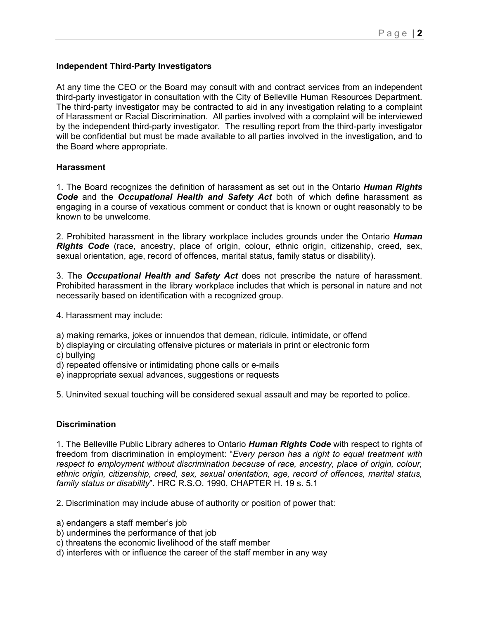## **Independent Third-Party Investigators**

At any time the CEO or the Board may consult with and contract services from an independent third-party investigator in consultation with the City of Belleville Human Resources Department. The third-party investigator may be contracted to aid in any investigation relating to a complaint of Harassment or Racial Discrimination. All parties involved with a complaint will be interviewed by the independent third-party investigator. The resulting report from the third-party investigator will be confidential but must be made available to all parties involved in the investigation, and to the Board where appropriate.

## **Harassment**

1. The Board recognizes the definition of harassment as set out in the Ontario *Human Rights Code* and the *Occupational Health and Safety Act* both of which define harassment as engaging in a course of vexatious comment or conduct that is known or ought reasonably to be known to be unwelcome.

2. Prohibited harassment in the library workplace includes grounds under the Ontario *Human Rights Code* (race, ancestry, place of origin, colour, ethnic origin, citizenship, creed, sex, sexual orientation, age, record of offences, marital status, family status or disability).

3. The *Occupational Health and Safety Act* does not prescribe the nature of harassment. Prohibited harassment in the library workplace includes that which is personal in nature and not necessarily based on identification with a recognized group.

4. Harassment may include:

a) making remarks, jokes or innuendos that demean, ridicule, intimidate, or offend

- b) displaying or circulating offensive pictures or materials in print or electronic form
- c) bullying

d) repeated offensive or intimidating phone calls or e-mails

e) inappropriate sexual advances, suggestions or requests

5. Uninvited sexual touching will be considered sexual assault and may be reported to police.

## **Discrimination**

1. The Belleville Public Library adheres to Ontario *Human Rights Code* with respect to rights of freedom from discrimination in employment: "*Every person has a right to equal treatment with respect to employment without discrimination because of race, ancestry, place of origin, colour, ethnic origin, citizenship, creed, sex, sexual orientation, age, record of offences, marital status, family status or disability*". HRC R.S.O. 1990, CHAPTER H. 19 s. 5.1

2. Discrimination may include abuse of authority or position of power that:

- a) endangers a staff member's job
- b) undermines the performance of that job
- c) threatens the economic livelihood of the staff member
- d) interferes with or influence the career of the staff member in any way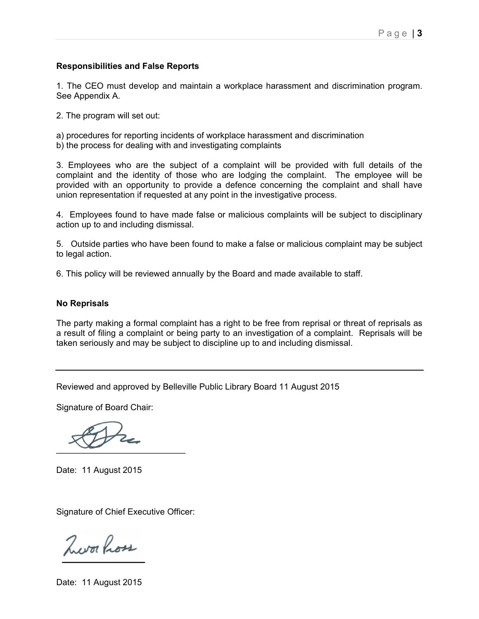### **Responsibilities and False Reports**

1. The CEO must develop and maintain a workplace harassment and discrimination program. See Appendix A.

2. The program will set out:

a) procedures for reporting incidents of workplace harassment and discrimination

b) the process for dealing with and investigating complaints

3. Employees who are the subject of a complaint will be provided with full details of the complaint and the identity of those who are lodging the complaint. The employee will be provided with an opportunity to provide a defence concerning the complaint and shall have union representation if requested at any point in the investigative process.

4. Employees found to have made false or malicious complaints will be subject to disciplinary action up to and including dismissal.

5. Outside parties who have been found to make a false or malicious complaint may be subject to legal action.

6. This policy will be reviewed annually by the Board and made available to staff.

#### **No Reprisals**

The party making a formal complaint has a right to be free from reprisal or threat of reprisals as a result of filing a complaint or being party to an investigation of a complaint. Reprisals will be taken seriously and may be subject to discipline up to and including dismissal.

Reviewed and approved by Belleville Public Library Board 11 August 2015

Signature of Board Chair:

 $\sim$ 

Date: 11 August 2015

Signature of Chief Executive Officer:

Zworkou

Date: 11 August 2015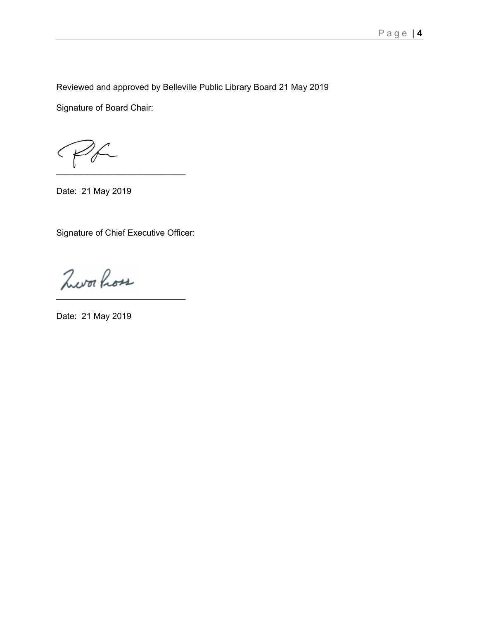Reviewed and approved by Belleville Public Library Board 21 May 2019

Signature of Board Chair:

 $\blacksquare$ 

Date: 21 May 2019

Signature of Chief Executive Officer:

Zworkou \_\_\_\_\_\_\_\_\_\_\_\_\_\_\_\_\_\_\_\_\_\_\_\_\_\_\_

Date: 21 May 2019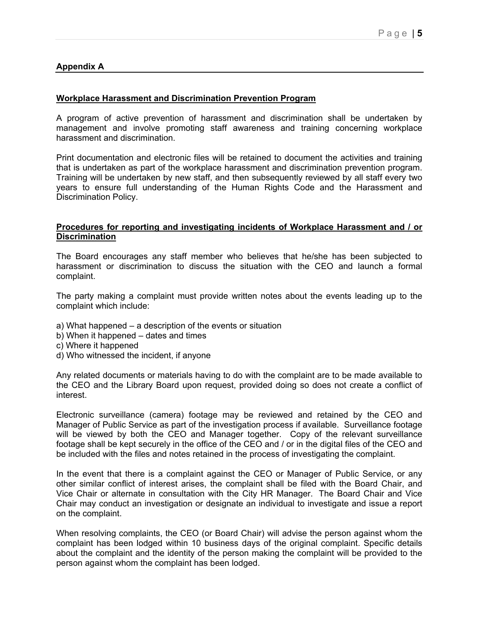## **Appendix A**

### **Workplace Harassment and Discrimination Prevention Program**

A program of active prevention of harassment and discrimination shall be undertaken by management and involve promoting staff awareness and training concerning workplace harassment and discrimination.

Print documentation and electronic files will be retained to document the activities and training that is undertaken as part of the workplace harassment and discrimination prevention program. Training will be undertaken by new staff, and then subsequently reviewed by all staff every two years to ensure full understanding of the Human Rights Code and the Harassment and Discrimination Policy.

### **Procedures for reporting and investigating incidents of Workplace Harassment and / or Discrimination**

The Board encourages any staff member who believes that he/she has been subjected to harassment or discrimination to discuss the situation with the CEO and launch a formal complaint.

The party making a complaint must provide written notes about the events leading up to the complaint which include:

- a) What happened a description of the events or situation
- b) When it happened dates and times
- c) Where it happened
- d) Who witnessed the incident, if anyone

Any related documents or materials having to do with the complaint are to be made available to the CEO and the Library Board upon request, provided doing so does not create a conflict of interest.

Electronic surveillance (camera) footage may be reviewed and retained by the CEO and Manager of Public Service as part of the investigation process if available. Surveillance footage will be viewed by both the CEO and Manager together. Copy of the relevant surveillance footage shall be kept securely in the office of the CEO and / or in the digital files of the CEO and be included with the files and notes retained in the process of investigating the complaint.

In the event that there is a complaint against the CEO or Manager of Public Service, or any other similar conflict of interest arises, the complaint shall be filed with the Board Chair, and Vice Chair or alternate in consultation with the City HR Manager. The Board Chair and Vice Chair may conduct an investigation or designate an individual to investigate and issue a report on the complaint.

When resolving complaints, the CEO (or Board Chair) will advise the person against whom the complaint has been lodged within 10 business days of the original complaint. Specific details about the complaint and the identity of the person making the complaint will be provided to the person against whom the complaint has been lodged.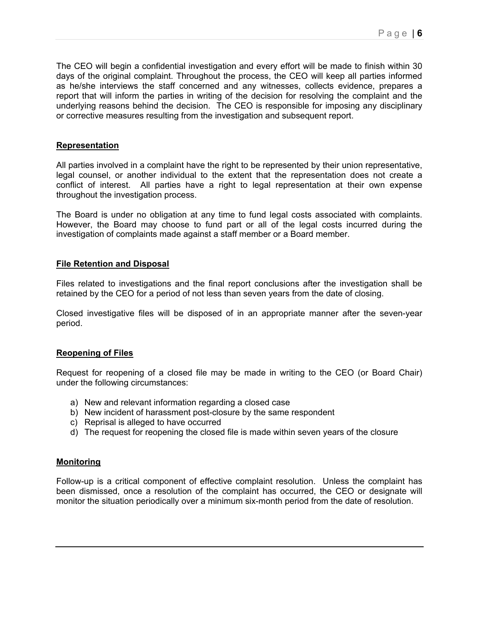The CEO will begin a confidential investigation and every effort will be made to finish within 30 days of the original complaint. Throughout the process, the CEO will keep all parties informed as he/she interviews the staff concerned and any witnesses, collects evidence, prepares a report that will inform the parties in writing of the decision for resolving the complaint and the underlying reasons behind the decision. The CEO is responsible for imposing any disciplinary or corrective measures resulting from the investigation and subsequent report.

### **Representation**

All parties involved in a complaint have the right to be represented by their union representative, legal counsel, or another individual to the extent that the representation does not create a conflict of interest. All parties have a right to legal representation at their own expense throughout the investigation process.

The Board is under no obligation at any time to fund legal costs associated with complaints. However, the Board may choose to fund part or all of the legal costs incurred during the investigation of complaints made against a staff member or a Board member.

### **File Retention and Disposal**

Files related to investigations and the final report conclusions after the investigation shall be retained by the CEO for a period of not less than seven years from the date of closing.

Closed investigative files will be disposed of in an appropriate manner after the seven-year period.

### **Reopening of Files**

Request for reopening of a closed file may be made in writing to the CEO (or Board Chair) under the following circumstances:

- a) New and relevant information regarding a closed case
- b) New incident of harassment post-closure by the same respondent
- c) Reprisal is alleged to have occurred
- d) The request for reopening the closed file is made within seven years of the closure

### **Monitoring**

Follow-up is a critical component of effective complaint resolution. Unless the complaint has been dismissed, once a resolution of the complaint has occurred, the CEO or designate will monitor the situation periodically over a minimum six-month period from the date of resolution.